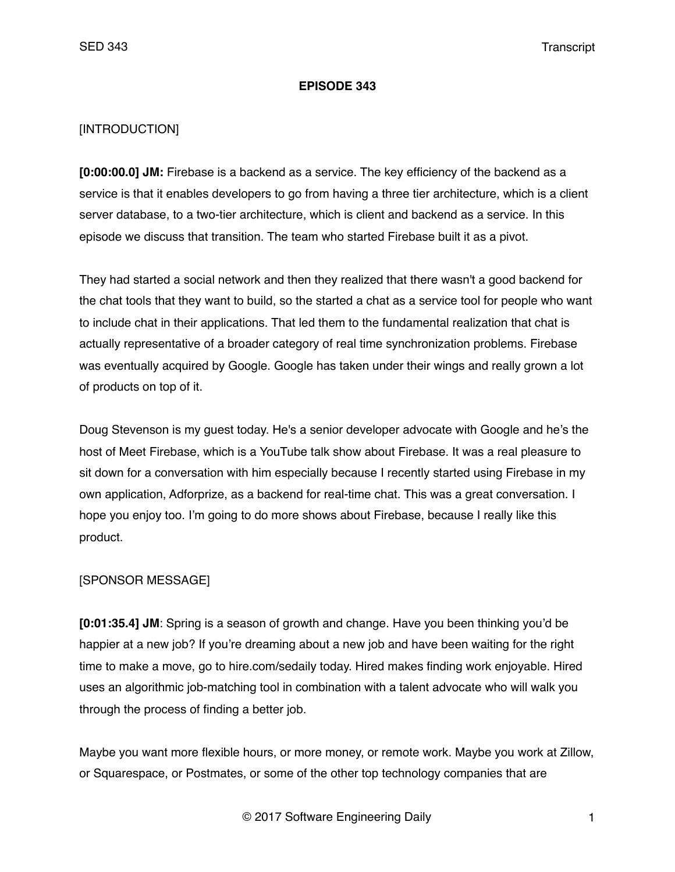### **EPISODE 343**

# [INTRODUCTION]

**[0:00:00.0] JM:** Firebase is a backend as a service. The key efficiency of the backend as a service is that it enables developers to go from having a three tier architecture, which is a client server database, to a two-tier architecture, which is client and backend as a service. In this episode we discuss that transition. The team who started Firebase built it as a pivot.

They had started a social network and then they realized that there wasn't a good backend for the chat tools that they want to build, so the started a chat as a service tool for people who want to include chat in their applications. That led them to the fundamental realization that chat is actually representative of a broader category of real time synchronization problems. Firebase was eventually acquired by Google. Google has taken under their wings and really grown a lot of products on top of it.

Doug Stevenson is my guest today. He's a senior developer advocate with Google and he's the host of Meet Firebase, which is a YouTube talk show about Firebase. It was a real pleasure to sit down for a conversation with him especially because I recently started using Firebase in my own application, Adforprize, as a backend for real-time chat. This was a great conversation. I hope you enjoy too. I'm going to do more shows about Firebase, because I really like this product.

# [SPONSOR MESSAGE]

**[0:01:35.4] JM**: Spring is a season of growth and change. Have you been thinking you'd be happier at a new job? If you're dreaming about a new job and have been waiting for the right time to make a move, go to hire.com/sedaily today. Hired makes finding work enjoyable. Hired uses an algorithmic job-matching tool in combination with a talent advocate who will walk you through the process of finding a better job.

Maybe you want more flexible hours, or more money, or remote work. Maybe you work at Zillow, or Squarespace, or Postmates, or some of the other top technology companies that are

© 2017 Software Engineering Daily 1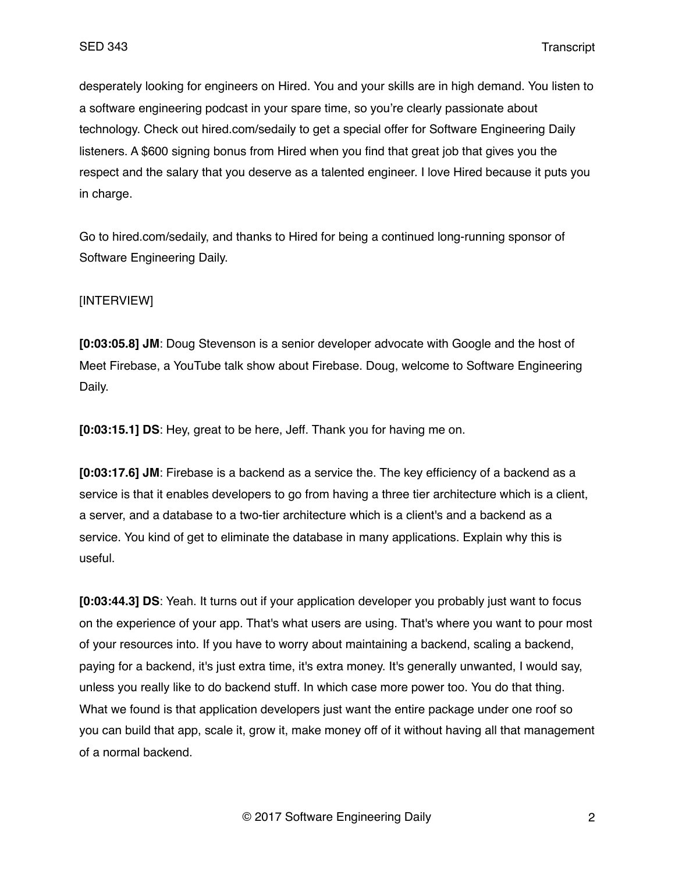desperately looking for engineers on Hired. You and your skills are in high demand. You listen to a software engineering podcast in your spare time, so you're clearly passionate about technology. Check out hired.com/sedaily to get a special offer for Software Engineering Daily listeners. A \$600 signing bonus from Hired when you find that great job that gives you the respect and the salary that you deserve as a talented engineer. I love Hired because it puts you in charge.

Go to hired.com/sedaily, and thanks to Hired for being a continued long-running sponsor of Software Engineering Daily.

### [INTERVIEW]

**[0:03:05.8] JM**: Doug Stevenson is a senior developer advocate with Google and the host of Meet Firebase, a YouTube talk show about Firebase. Doug, welcome to Software Engineering Daily.

**[0:03:15.1] DS**: Hey, great to be here, Jeff. Thank you for having me on.

**[0:03:17.6] JM**: Firebase is a backend as a service the. The key efficiency of a backend as a service is that it enables developers to go from having a three tier architecture which is a client, a server, and a database to a two-tier architecture which is a client's and a backend as a service. You kind of get to eliminate the database in many applications. Explain why this is useful.

**[0:03:44.3] DS**: Yeah. It turns out if your application developer you probably just want to focus on the experience of your app. That's what users are using. That's where you want to pour most of your resources into. If you have to worry about maintaining a backend, scaling a backend, paying for a backend, it's just extra time, it's extra money. It's generally unwanted, I would say, unless you really like to do backend stuff. In which case more power too. You do that thing. What we found is that application developers just want the entire package under one roof so you can build that app, scale it, grow it, make money off of it without having all that management of a normal backend.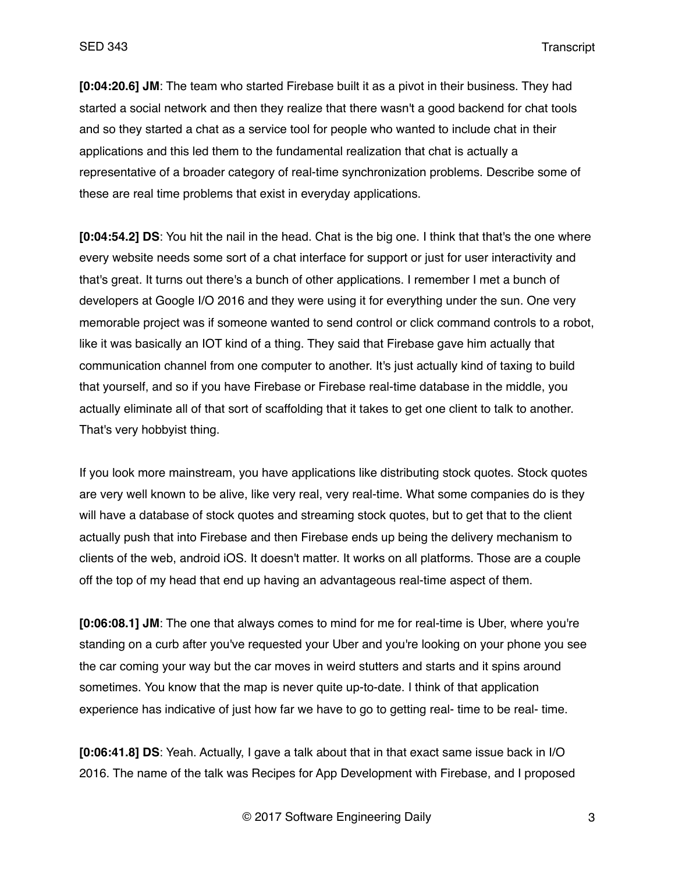**[0:04:20.6] JM**: The team who started Firebase built it as a pivot in their business. They had started a social network and then they realize that there wasn't a good backend for chat tools and so they started a chat as a service tool for people who wanted to include chat in their applications and this led them to the fundamental realization that chat is actually a representative of a broader category of real-time synchronization problems. Describe some of these are real time problems that exist in everyday applications.

**[0:04:54.2] DS**: You hit the nail in the head. Chat is the big one. I think that that's the one where every website needs some sort of a chat interface for support or just for user interactivity and that's great. It turns out there's a bunch of other applications. I remember I met a bunch of developers at Google I/O 2016 and they were using it for everything under the sun. One very memorable project was if someone wanted to send control or click command controls to a robot, like it was basically an IOT kind of a thing. They said that Firebase gave him actually that communication channel from one computer to another. It's just actually kind of taxing to build that yourself, and so if you have Firebase or Firebase real-time database in the middle, you actually eliminate all of that sort of scaffolding that it takes to get one client to talk to another. That's very hobbyist thing.

If you look more mainstream, you have applications like distributing stock quotes. Stock quotes are very well known to be alive, like very real, very real-time. What some companies do is they will have a database of stock quotes and streaming stock quotes, but to get that to the client actually push that into Firebase and then Firebase ends up being the delivery mechanism to clients of the web, android iOS. It doesn't matter. It works on all platforms. Those are a couple off the top of my head that end up having an advantageous real-time aspect of them.

**[0:06:08.1] JM**: The one that always comes to mind for me for real-time is Uber, where you're standing on a curb after you've requested your Uber and you're looking on your phone you see the car coming your way but the car moves in weird stutters and starts and it spins around sometimes. You know that the map is never quite up-to-date. I think of that application experience has indicative of just how far we have to go to getting real- time to be real- time.

**[0:06:41.8] DS**: Yeah. Actually, I gave a talk about that in that exact same issue back in I/O 2016. The name of the talk was Recipes for App Development with Firebase, and I proposed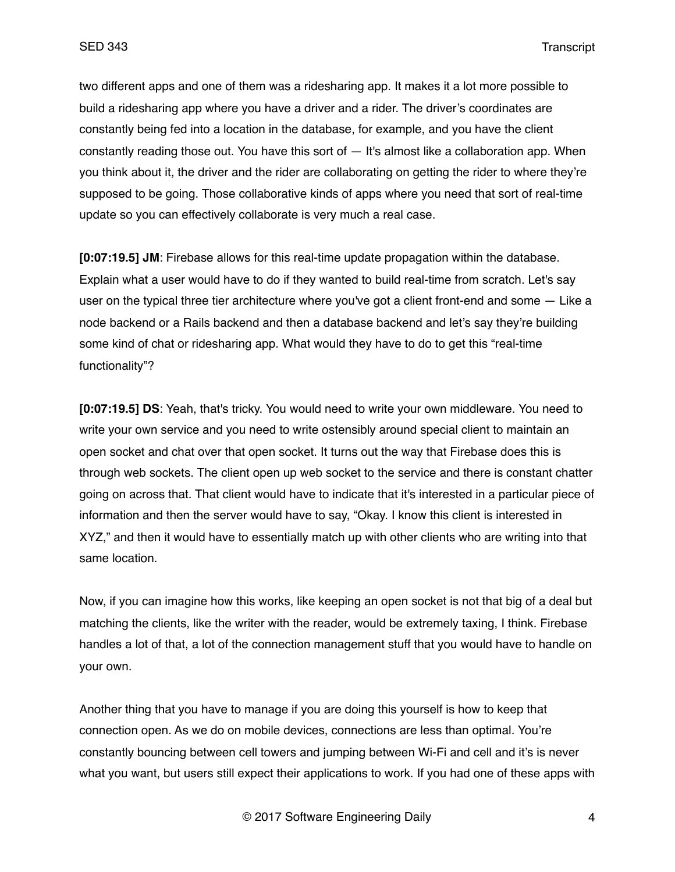two different apps and one of them was a ridesharing app. It makes it a lot more possible to build a ridesharing app where you have a driver and a rider. The driver's coordinates are constantly being fed into a location in the database, for example, and you have the client constantly reading those out. You have this sort of — It's almost like a collaboration app. When you think about it, the driver and the rider are collaborating on getting the rider to where they're supposed to be going. Those collaborative kinds of apps where you need that sort of real-time update so you can effectively collaborate is very much a real case.

**[0:07:19.5] JM**: Firebase allows for this real-time update propagation within the database. Explain what a user would have to do if they wanted to build real-time from scratch. Let's say user on the typical three tier architecture where you've got a client front-end and some — Like a node backend or a Rails backend and then a database backend and let's say they're building some kind of chat or ridesharing app. What would they have to do to get this "real-time functionality"?

**[0:07:19.5] DS**: Yeah, that's tricky. You would need to write your own middleware. You need to write your own service and you need to write ostensibly around special client to maintain an open socket and chat over that open socket. It turns out the way that Firebase does this is through web sockets. The client open up web socket to the service and there is constant chatter going on across that. That client would have to indicate that it's interested in a particular piece of information and then the server would have to say, "Okay. I know this client is interested in XYZ," and then it would have to essentially match up with other clients who are writing into that same location.

Now, if you can imagine how this works, like keeping an open socket is not that big of a deal but matching the clients, like the writer with the reader, would be extremely taxing, I think. Firebase handles a lot of that, a lot of the connection management stuff that you would have to handle on your own.

Another thing that you have to manage if you are doing this yourself is how to keep that connection open. As we do on mobile devices, connections are less than optimal. You're constantly bouncing between cell towers and jumping between Wi-Fi and cell and it's is never what you want, but users still expect their applications to work. If you had one of these apps with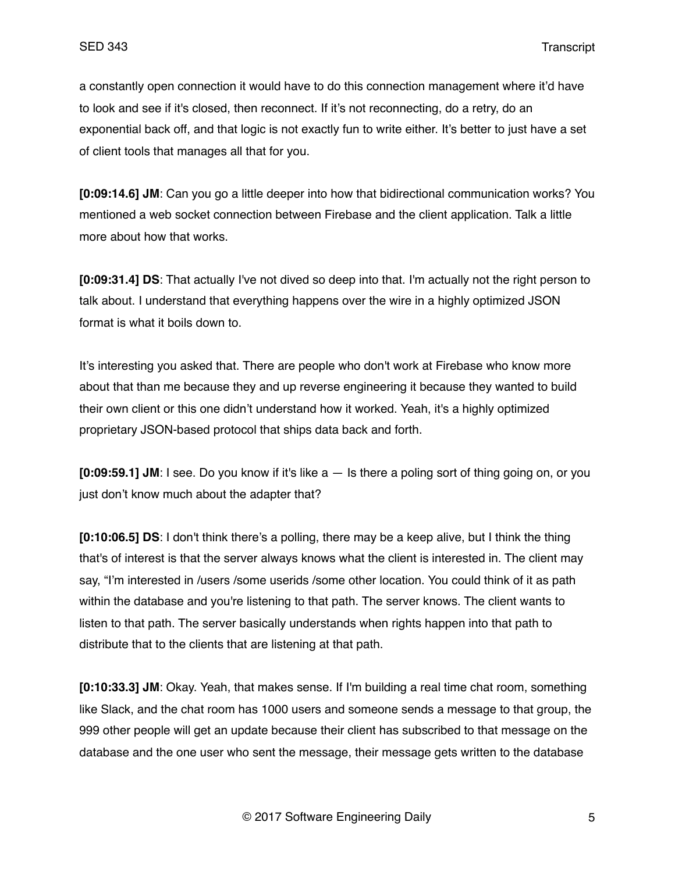a constantly open connection it would have to do this connection management where it'd have to look and see if it's closed, then reconnect. If it's not reconnecting, do a retry, do an exponential back off, and that logic is not exactly fun to write either. It's better to just have a set of client tools that manages all that for you.

**[0:09:14.6] JM**: Can you go a little deeper into how that bidirectional communication works? You mentioned a web socket connection between Firebase and the client application. Talk a little more about how that works.

**[0:09:31.4] DS**: That actually I've not dived so deep into that. I'm actually not the right person to talk about. I understand that everything happens over the wire in a highly optimized JSON format is what it boils down to.

It's interesting you asked that. There are people who don't work at Firebase who know more about that than me because they and up reverse engineering it because they wanted to build their own client or this one didn't understand how it worked. Yeah, it's a highly optimized proprietary JSON-based protocol that ships data back and forth.

**[0:09:59.1] JM**: I see. Do you know if it's like a — Is there a poling sort of thing going on, or you just don't know much about the adapter that?

**[0:10:06.5] DS**: I don't think there's a polling, there may be a keep alive, but I think the thing that's of interest is that the server always knows what the client is interested in. The client may say, "I'm interested in /users /some userids /some other location. You could think of it as path within the database and you're listening to that path. The server knows. The client wants to listen to that path. The server basically understands when rights happen into that path to distribute that to the clients that are listening at that path.

**[0:10:33.3] JM**: Okay. Yeah, that makes sense. If I'm building a real time chat room, something like Slack, and the chat room has 1000 users and someone sends a message to that group, the 999 other people will get an update because their client has subscribed to that message on the database and the one user who sent the message, their message gets written to the database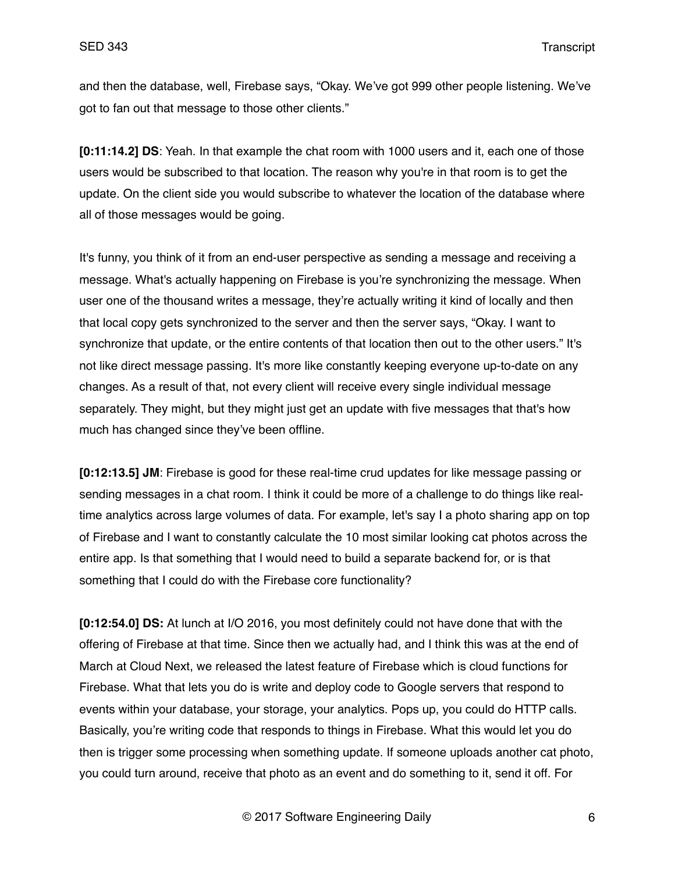and then the database, well, Firebase says, "Okay. We've got 999 other people listening. We've got to fan out that message to those other clients."

**[0:11:14.2] DS**: Yeah. In that example the chat room with 1000 users and it, each one of those users would be subscribed to that location. The reason why you're in that room is to get the update. On the client side you would subscribe to whatever the location of the database where all of those messages would be going.

It's funny, you think of it from an end-user perspective as sending a message and receiving a message. What's actually happening on Firebase is you're synchronizing the message. When user one of the thousand writes a message, they're actually writing it kind of locally and then that local copy gets synchronized to the server and then the server says, "Okay. I want to synchronize that update, or the entire contents of that location then out to the other users." It's not like direct message passing. It's more like constantly keeping everyone up-to-date on any changes. As a result of that, not every client will receive every single individual message separately. They might, but they might just get an update with five messages that that's how much has changed since they've been offline.

**[0:12:13.5] JM**: Firebase is good for these real-time crud updates for like message passing or sending messages in a chat room. I think it could be more of a challenge to do things like realtime analytics across large volumes of data. For example, let's say I a photo sharing app on top of Firebase and I want to constantly calculate the 10 most similar looking cat photos across the entire app. Is that something that I would need to build a separate backend for, or is that something that I could do with the Firebase core functionality?

**[0:12:54.0] DS:** At lunch at I/O 2016, you most definitely could not have done that with the offering of Firebase at that time. Since then we actually had, and I think this was at the end of March at Cloud Next, we released the latest feature of Firebase which is cloud functions for Firebase. What that lets you do is write and deploy code to Google servers that respond to events within your database, your storage, your analytics. Pops up, you could do HTTP calls. Basically, you're writing code that responds to things in Firebase. What this would let you do then is trigger some processing when something update. If someone uploads another cat photo, you could turn around, receive that photo as an event and do something to it, send it off. For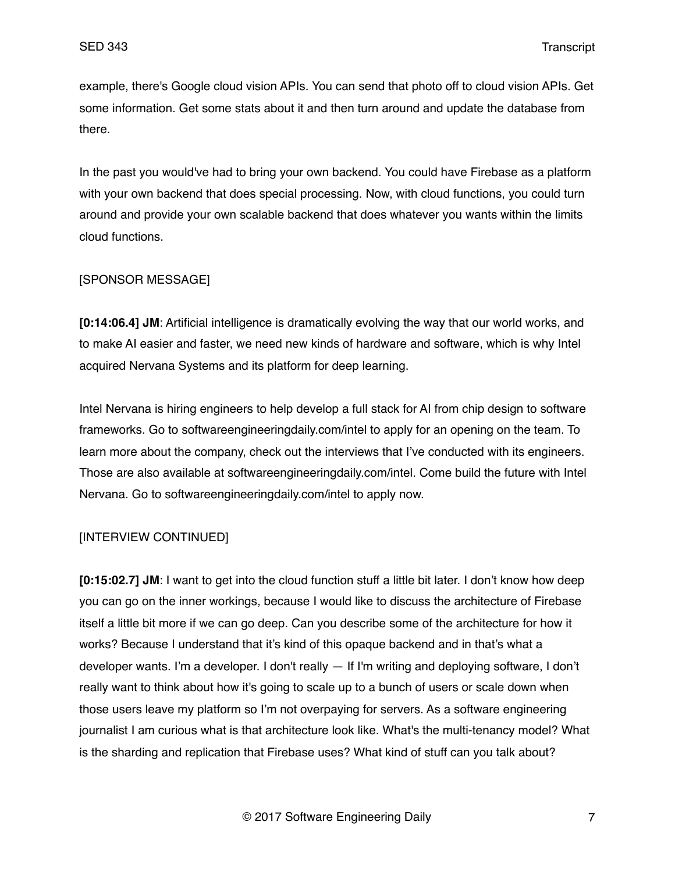example, there's Google cloud vision APIs. You can send that photo off to cloud vision APIs. Get some information. Get some stats about it and then turn around and update the database from there.

In the past you would've had to bring your own backend. You could have Firebase as a platform with your own backend that does special processing. Now, with cloud functions, you could turn around and provide your own scalable backend that does whatever you wants within the limits cloud functions.

# [SPONSOR MESSAGE]

**[0:14:06.4] JM**: Artificial intelligence is dramatically evolving the way that our world works, and to make AI easier and faster, we need new kinds of hardware and software, which is why Intel acquired Nervana Systems and its platform for deep learning.

Intel Nervana is hiring engineers to help develop a full stack for AI from chip design to software frameworks. Go to softwareengineeringdaily.com/intel to apply for an opening on the team. To learn more about the company, check out the interviews that I've conducted with its engineers. Those are also available at softwareengineeringdaily.com/intel. Come build the future with Intel Nervana. Go to softwareengineeringdaily.com/intel to apply now.

# [INTERVIEW CONTINUED]

**[0:15:02.7] JM**: I want to get into the cloud function stuff a little bit later. I don't know how deep you can go on the inner workings, because I would like to discuss the architecture of Firebase itself a little bit more if we can go deep. Can you describe some of the architecture for how it works? Because I understand that it's kind of this opaque backend and in that's what a developer wants. I'm a developer. I don't really — If I'm writing and deploying software, I don't really want to think about how it's going to scale up to a bunch of users or scale down when those users leave my platform so I'm not overpaying for servers. As a software engineering journalist I am curious what is that architecture look like. What's the multi-tenancy model? What is the sharding and replication that Firebase uses? What kind of stuff can you talk about?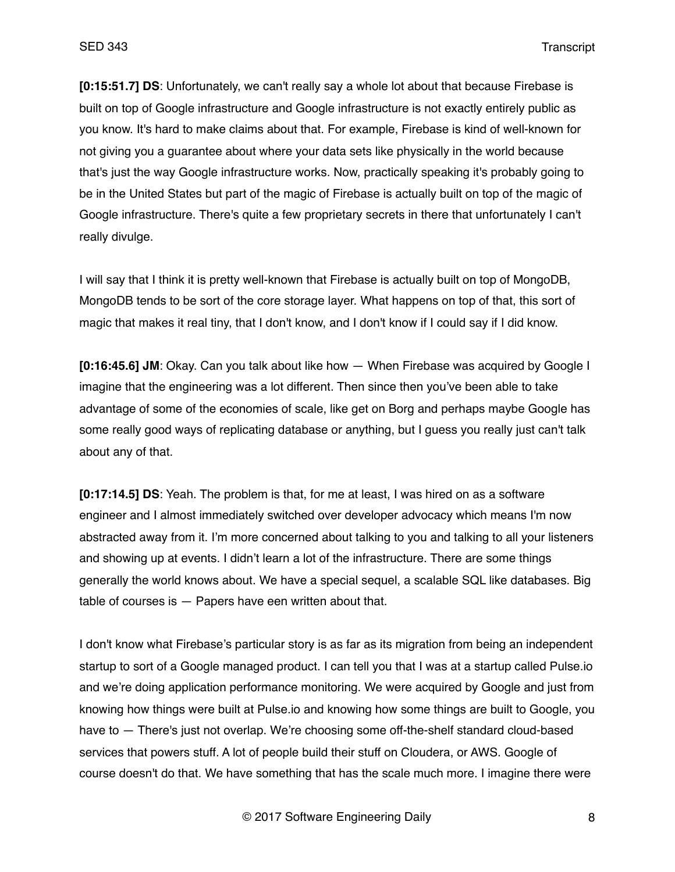**[0:15:51.7] DS**: Unfortunately, we can't really say a whole lot about that because Firebase is built on top of Google infrastructure and Google infrastructure is not exactly entirely public as you know. It's hard to make claims about that. For example, Firebase is kind of well-known for not giving you a guarantee about where your data sets like physically in the world because that's just the way Google infrastructure works. Now, practically speaking it's probably going to be in the United States but part of the magic of Firebase is actually built on top of the magic of Google infrastructure. There's quite a few proprietary secrets in there that unfortunately I can't really divulge.

I will say that I think it is pretty well-known that Firebase is actually built on top of MongoDB, MongoDB tends to be sort of the core storage layer. What happens on top of that, this sort of magic that makes it real tiny, that I don't know, and I don't know if I could say if I did know.

**[0:16:45.6] JM**: Okay. Can you talk about like how — When Firebase was acquired by Google I imagine that the engineering was a lot different. Then since then you've been able to take advantage of some of the economies of scale, like get on Borg and perhaps maybe Google has some really good ways of replicating database or anything, but I guess you really just can't talk about any of that.

**[0:17:14.5] DS**: Yeah. The problem is that, for me at least, I was hired on as a software engineer and I almost immediately switched over developer advocacy which means I'm now abstracted away from it. I'm more concerned about talking to you and talking to all your listeners and showing up at events. I didn't learn a lot of the infrastructure. There are some things generally the world knows about. We have a special sequel, a scalable SQL like databases. Big table of courses is — Papers have een written about that.

I don't know what Firebase's particular story is as far as its migration from being an independent startup to sort of a Google managed product. I can tell you that I was at a startup called Pulse.io and we're doing application performance monitoring. We were acquired by Google and just from knowing how things were built at Pulse.io and knowing how some things are built to Google, you have to — There's just not overlap. We're choosing some off-the-shelf standard cloud-based services that powers stuff. A lot of people build their stuff on Cloudera, or AWS. Google of course doesn't do that. We have something that has the scale much more. I imagine there were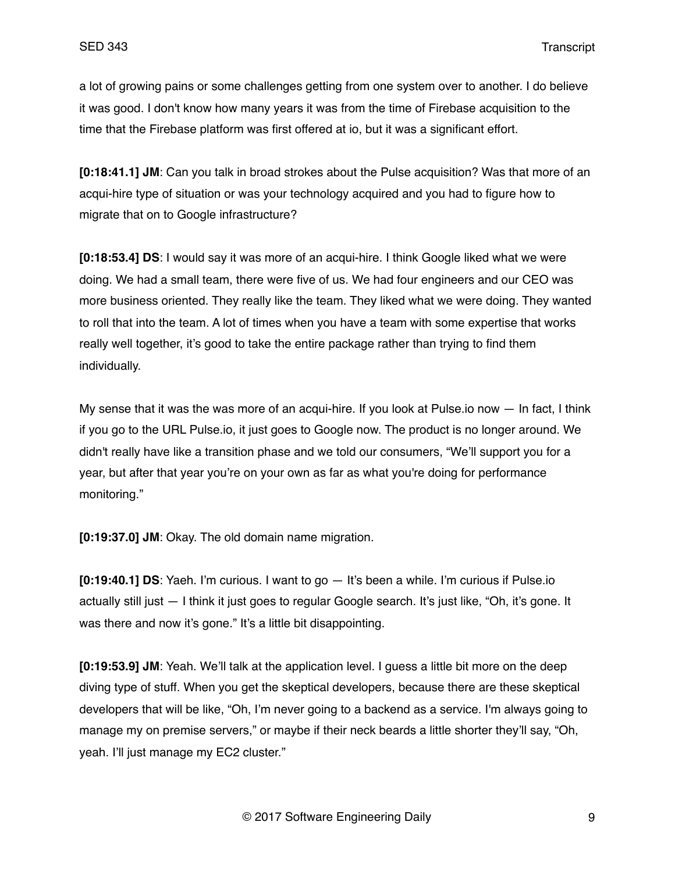a lot of growing pains or some challenges getting from one system over to another. I do believe it was good. I don't know how many years it was from the time of Firebase acquisition to the time that the Firebase platform was first offered at io, but it was a significant effort.

**[0:18:41.1] JM**: Can you talk in broad strokes about the Pulse acquisition? Was that more of an acqui-hire type of situation or was your technology acquired and you had to figure how to migrate that on to Google infrastructure?

**[0:18:53.4] DS**: I would say it was more of an acqui-hire. I think Google liked what we were doing. We had a small team, there were five of us. We had four engineers and our CEO was more business oriented. They really like the team. They liked what we were doing. They wanted to roll that into the team. A lot of times when you have a team with some expertise that works really well together, it's good to take the entire package rather than trying to find them individually.

My sense that it was the was more of an acqui-hire. If you look at Pulse io now  $-$  In fact, I think if you go to the URL Pulse.io, it just goes to Google now. The product is no longer around. We didn't really have like a transition phase and we told our consumers, "We'll support you for a year, but after that year you're on your own as far as what you're doing for performance monitoring."

**[0:19:37.0] JM**: Okay. The old domain name migration.

**[0:19:40.1] DS**: Yaeh. I'm curious. I want to go — It's been a while. I'm curious if Pulse.io actually still just — I think it just goes to regular Google search. It's just like, "Oh, it's gone. It was there and now it's gone." It's a little bit disappointing.

**[0:19:53.9] JM**: Yeah. We'll talk at the application level. I guess a little bit more on the deep diving type of stuff. When you get the skeptical developers, because there are these skeptical developers that will be like, "Oh, I'm never going to a backend as a service. I'm always going to manage my on premise servers," or maybe if their neck beards a little shorter they'll say, "Oh, yeah. I'll just manage my EC2 cluster."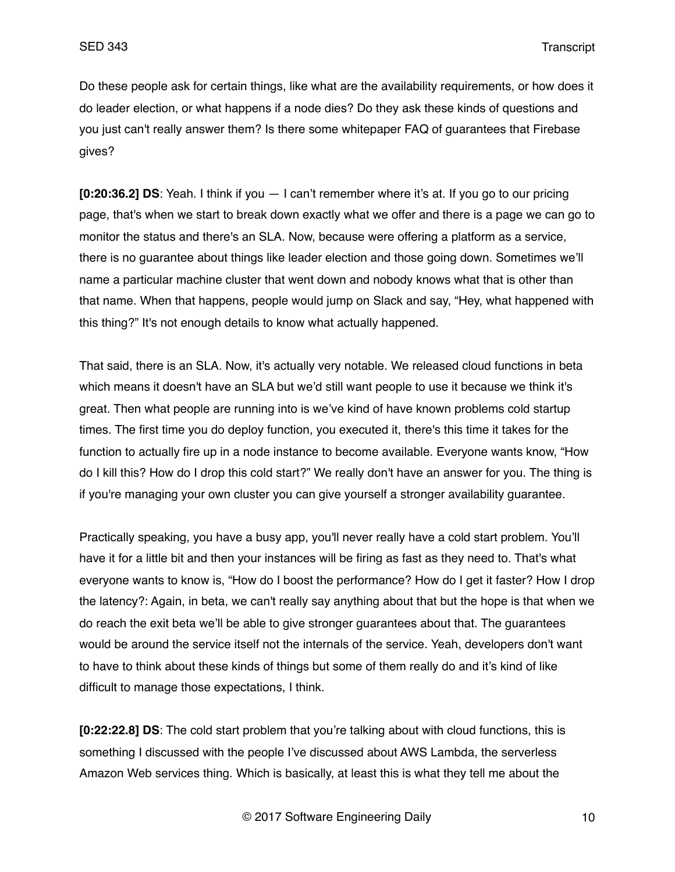Do these people ask for certain things, like what are the availability requirements, or how does it do leader election, or what happens if a node dies? Do they ask these kinds of questions and you just can't really answer them? Is there some whitepaper FAQ of guarantees that Firebase gives?

**[0:20:36.2] DS**: Yeah. I think if you — I can't remember where it's at. If you go to our pricing page, that's when we start to break down exactly what we offer and there is a page we can go to monitor the status and there's an SLA. Now, because were offering a platform as a service, there is no guarantee about things like leader election and those going down. Sometimes we'll name a particular machine cluster that went down and nobody knows what that is other than that name. When that happens, people would jump on Slack and say, "Hey, what happened with this thing?" It's not enough details to know what actually happened.

That said, there is an SLA. Now, it's actually very notable. We released cloud functions in beta which means it doesn't have an SLA but we'd still want people to use it because we think it's great. Then what people are running into is we've kind of have known problems cold startup times. The first time you do deploy function, you executed it, there's this time it takes for the function to actually fire up in a node instance to become available. Everyone wants know, "How do I kill this? How do I drop this cold start?" We really don't have an answer for you. The thing is if you're managing your own cluster you can give yourself a stronger availability guarantee.

Practically speaking, you have a busy app, you'll never really have a cold start problem. You'll have it for a little bit and then your instances will be firing as fast as they need to. That's what everyone wants to know is, "How do I boost the performance? How do I get it faster? How I drop the latency?: Again, in beta, we can't really say anything about that but the hope is that when we do reach the exit beta we'll be able to give stronger guarantees about that. The guarantees would be around the service itself not the internals of the service. Yeah, developers don't want to have to think about these kinds of things but some of them really do and it's kind of like difficult to manage those expectations, I think.

**[0:22:22.8] DS**: The cold start problem that you're talking about with cloud functions, this is something I discussed with the people I've discussed about AWS Lambda, the serverless Amazon Web services thing. Which is basically, at least this is what they tell me about the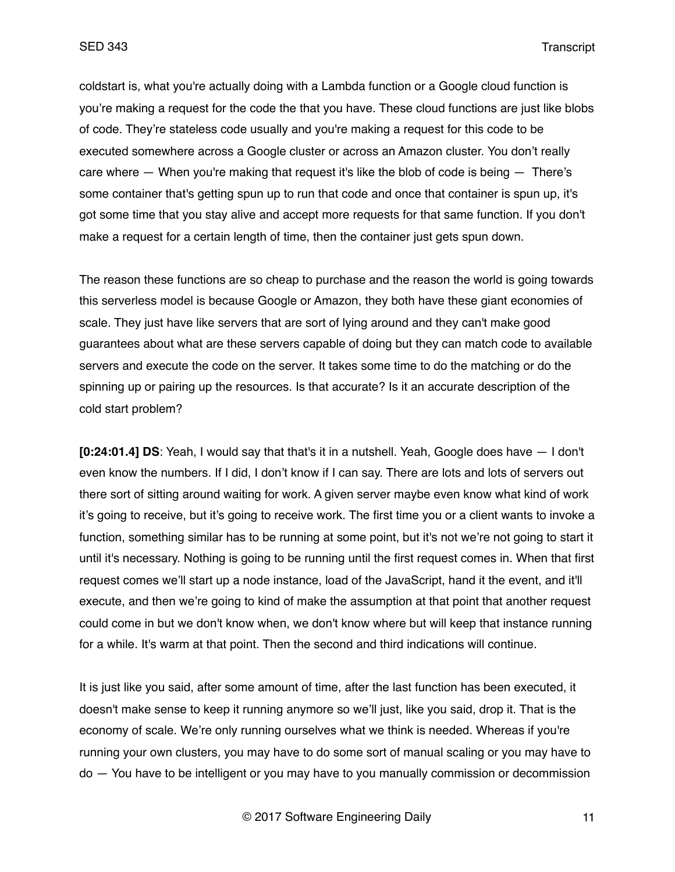coldstart is, what you're actually doing with a Lambda function or a Google cloud function is you're making a request for the code the that you have. These cloud functions are just like blobs of code. They're stateless code usually and you're making a request for this code to be executed somewhere across a Google cluster or across an Amazon cluster. You don't really care where — When you're making that request it's like the blob of code is being — There's some container that's getting spun up to run that code and once that container is spun up, it's got some time that you stay alive and accept more requests for that same function. If you don't make a request for a certain length of time, then the container just gets spun down.

The reason these functions are so cheap to purchase and the reason the world is going towards this serverless model is because Google or Amazon, they both have these giant economies of scale. They just have like servers that are sort of lying around and they can't make good guarantees about what are these servers capable of doing but they can match code to available servers and execute the code on the server. It takes some time to do the matching or do the spinning up or pairing up the resources. Is that accurate? Is it an accurate description of the cold start problem?

**[0:24:01.4] DS**: Yeah, I would say that that's it in a nutshell. Yeah, Google does have — I don't even know the numbers. If I did, I don't know if I can say. There are lots and lots of servers out there sort of sitting around waiting for work. A given server maybe even know what kind of work it's going to receive, but it's going to receive work. The first time you or a client wants to invoke a function, something similar has to be running at some point, but it's not we're not going to start it until it's necessary. Nothing is going to be running until the first request comes in. When that first request comes we'll start up a node instance, load of the JavaScript, hand it the event, and it'll execute, and then we're going to kind of make the assumption at that point that another request could come in but we don't know when, we don't know where but will keep that instance running for a while. It's warm at that point. Then the second and third indications will continue.

It is just like you said, after some amount of time, after the last function has been executed, it doesn't make sense to keep it running anymore so we'll just, like you said, drop it. That is the economy of scale. We're only running ourselves what we think is needed. Whereas if you're running your own clusters, you may have to do some sort of manual scaling or you may have to do — You have to be intelligent or you may have to you manually commission or decommission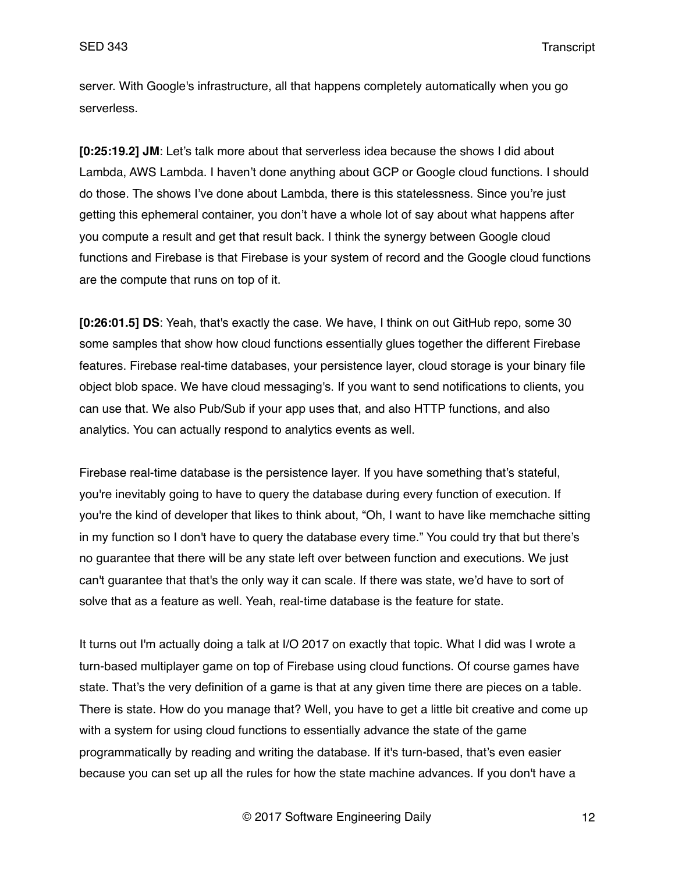server. With Google's infrastructure, all that happens completely automatically when you go serverless.

**[0:25:19.2] JM**: Let's talk more about that serverless idea because the shows I did about Lambda, AWS Lambda. I haven't done anything about GCP or Google cloud functions. I should do those. The shows I've done about Lambda, there is this statelessness. Since you're just getting this ephemeral container, you don't have a whole lot of say about what happens after you compute a result and get that result back. I think the synergy between Google cloud functions and Firebase is that Firebase is your system of record and the Google cloud functions are the compute that runs on top of it.

**[0:26:01.5] DS**: Yeah, that's exactly the case. We have, I think on out GitHub repo, some 30 some samples that show how cloud functions essentially glues together the different Firebase features. Firebase real-time databases, your persistence layer, cloud storage is your binary file object blob space. We have cloud messaging's. If you want to send notifications to clients, you can use that. We also Pub/Sub if your app uses that, and also HTTP functions, and also analytics. You can actually respond to analytics events as well.

Firebase real-time database is the persistence layer. If you have something that's stateful, you're inevitably going to have to query the database during every function of execution. If you're the kind of developer that likes to think about, "Oh, I want to have like memchache sitting in my function so I don't have to query the database every time." You could try that but there's no guarantee that there will be any state left over between function and executions. We just can't guarantee that that's the only way it can scale. If there was state, we'd have to sort of solve that as a feature as well. Yeah, real-time database is the feature for state.

It turns out I'm actually doing a talk at I/O 2017 on exactly that topic. What I did was I wrote a turn-based multiplayer game on top of Firebase using cloud functions. Of course games have state. That's the very definition of a game is that at any given time there are pieces on a table. There is state. How do you manage that? Well, you have to get a little bit creative and come up with a system for using cloud functions to essentially advance the state of the game programmatically by reading and writing the database. If it's turn-based, that's even easier because you can set up all the rules for how the state machine advances. If you don't have a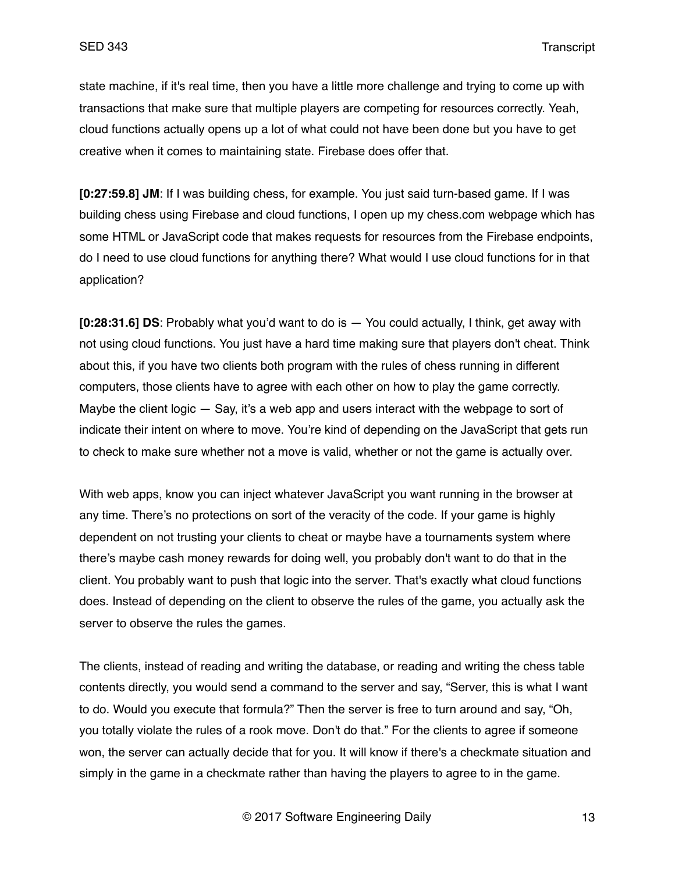state machine, if it's real time, then you have a little more challenge and trying to come up with transactions that make sure that multiple players are competing for resources correctly. Yeah, cloud functions actually opens up a lot of what could not have been done but you have to get creative when it comes to maintaining state. Firebase does offer that.

**[0:27:59.8] JM**: If I was building chess, for example. You just said turn-based game. If I was building chess using Firebase and cloud functions, I open up my chess.com webpage which has some HTML or JavaScript code that makes requests for resources from the Firebase endpoints, do I need to use cloud functions for anything there? What would I use cloud functions for in that application?

**[0:28:31.6] DS**: Probably what you'd want to do is — You could actually, I think, get away with not using cloud functions. You just have a hard time making sure that players don't cheat. Think about this, if you have two clients both program with the rules of chess running in different computers, those clients have to agree with each other on how to play the game correctly. Maybe the client logic — Say, it's a web app and users interact with the webpage to sort of indicate their intent on where to move. You're kind of depending on the JavaScript that gets run to check to make sure whether not a move is valid, whether or not the game is actually over.

With web apps, know you can inject whatever JavaScript you want running in the browser at any time. There's no protections on sort of the veracity of the code. If your game is highly dependent on not trusting your clients to cheat or maybe have a tournaments system where there's maybe cash money rewards for doing well, you probably don't want to do that in the client. You probably want to push that logic into the server. That's exactly what cloud functions does. Instead of depending on the client to observe the rules of the game, you actually ask the server to observe the rules the games.

The clients, instead of reading and writing the database, or reading and writing the chess table contents directly, you would send a command to the server and say, "Server, this is what I want to do. Would you execute that formula?" Then the server is free to turn around and say, "Oh, you totally violate the rules of a rook move. Don't do that." For the clients to agree if someone won, the server can actually decide that for you. It will know if there's a checkmate situation and simply in the game in a checkmate rather than having the players to agree to in the game.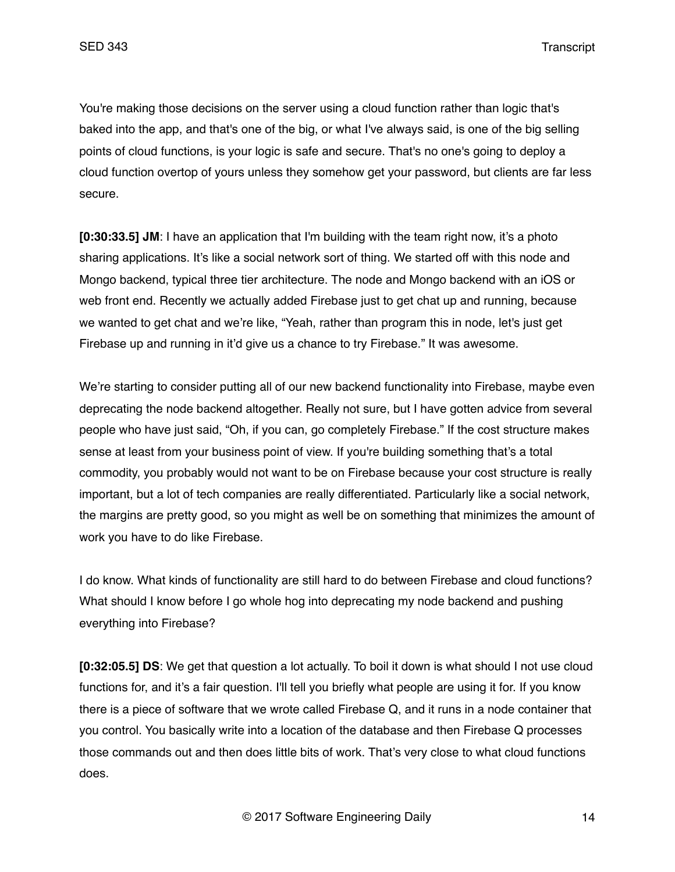You're making those decisions on the server using a cloud function rather than logic that's baked into the app, and that's one of the big, or what I've always said, is one of the big selling points of cloud functions, is your logic is safe and secure. That's no one's going to deploy a cloud function overtop of yours unless they somehow get your password, but clients are far less secure.

**[0:30:33.5] JM**: I have an application that I'm building with the team right now, it's a photo sharing applications. It's like a social network sort of thing. We started off with this node and Mongo backend, typical three tier architecture. The node and Mongo backend with an iOS or web front end. Recently we actually added Firebase just to get chat up and running, because we wanted to get chat and we're like, "Yeah, rather than program this in node, let's just get Firebase up and running in it'd give us a chance to try Firebase." It was awesome.

We're starting to consider putting all of our new backend functionality into Firebase, maybe even deprecating the node backend altogether. Really not sure, but I have gotten advice from several people who have just said, "Oh, if you can, go completely Firebase." If the cost structure makes sense at least from your business point of view. If you're building something that's a total commodity, you probably would not want to be on Firebase because your cost structure is really important, but a lot of tech companies are really differentiated. Particularly like a social network, the margins are pretty good, so you might as well be on something that minimizes the amount of work you have to do like Firebase.

I do know. What kinds of functionality are still hard to do between Firebase and cloud functions? What should I know before I go whole hog into deprecating my node backend and pushing everything into Firebase?

**[0:32:05.5] DS**: We get that question a lot actually. To boil it down is what should I not use cloud functions for, and it's a fair question. I'll tell you briefly what people are using it for. If you know there is a piece of software that we wrote called Firebase Q, and it runs in a node container that you control. You basically write into a location of the database and then Firebase Q processes those commands out and then does little bits of work. That's very close to what cloud functions does.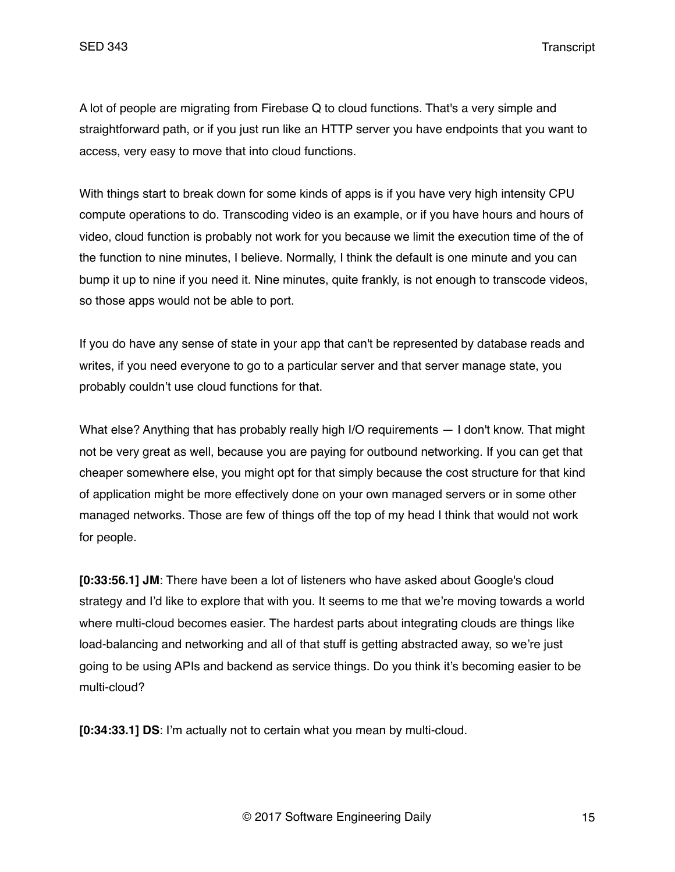A lot of people are migrating from Firebase Q to cloud functions. That's a very simple and straightforward path, or if you just run like an HTTP server you have endpoints that you want to access, very easy to move that into cloud functions.

With things start to break down for some kinds of apps is if you have very high intensity CPU compute operations to do. Transcoding video is an example, or if you have hours and hours of video, cloud function is probably not work for you because we limit the execution time of the of the function to nine minutes, I believe. Normally, I think the default is one minute and you can bump it up to nine if you need it. Nine minutes, quite frankly, is not enough to transcode videos, so those apps would not be able to port.

If you do have any sense of state in your app that can't be represented by database reads and writes, if you need everyone to go to a particular server and that server manage state, you probably couldn't use cloud functions for that.

What else? Anything that has probably really high I/O requirements  $-1$  don't know. That might not be very great as well, because you are paying for outbound networking. If you can get that cheaper somewhere else, you might opt for that simply because the cost structure for that kind of application might be more effectively done on your own managed servers or in some other managed networks. Those are few of things off the top of my head I think that would not work for people.

**[0:33:56.1] JM**: There have been a lot of listeners who have asked about Google's cloud strategy and I'd like to explore that with you. It seems to me that we're moving towards a world where multi-cloud becomes easier. The hardest parts about integrating clouds are things like load-balancing and networking and all of that stuff is getting abstracted away, so we're just going to be using APIs and backend as service things. Do you think it's becoming easier to be multi-cloud?

**[0:34:33.1] DS**: I'm actually not to certain what you mean by multi-cloud.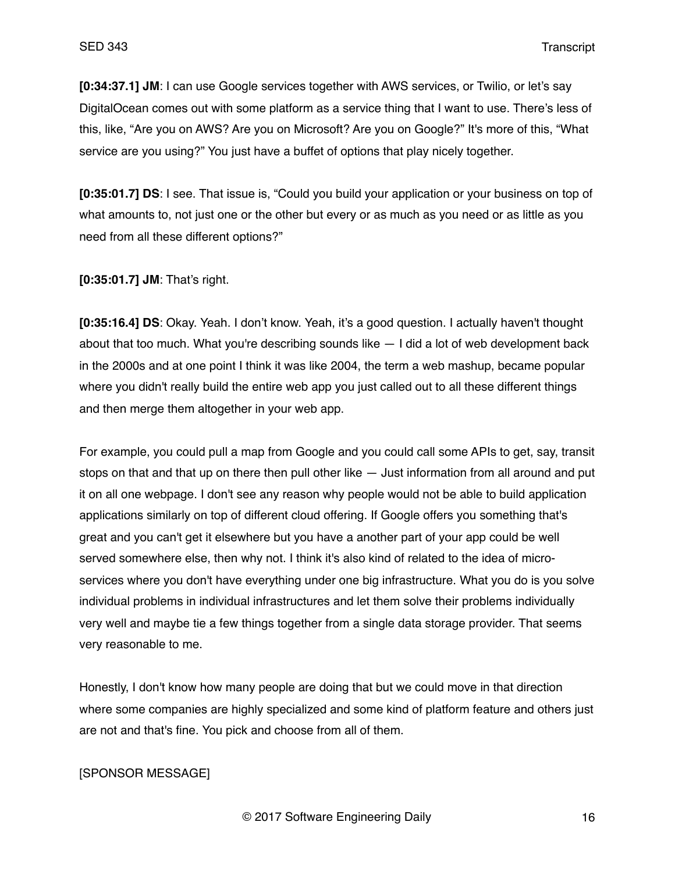**[0:34:37.1] JM**: I can use Google services together with AWS services, or Twilio, or let's say DigitalOcean comes out with some platform as a service thing that I want to use. There's less of this, like, "Are you on AWS? Are you on Microsoft? Are you on Google?" It's more of this, "What service are you using?" You just have a buffet of options that play nicely together.

**[0:35:01.7] DS**: I see. That issue is, "Could you build your application or your business on top of what amounts to, not just one or the other but every or as much as you need or as little as you need from all these different options?"

**[0:35:01.7] JM**: That's right.

**[0:35:16.4] DS**: Okay. Yeah. I don't know. Yeah, it's a good question. I actually haven't thought about that too much. What you're describing sounds like — I did a lot of web development back in the 2000s and at one point I think it was like 2004, the term a web mashup, became popular where you didn't really build the entire web app you just called out to all these different things and then merge them altogether in your web app.

For example, you could pull a map from Google and you could call some APIs to get, say, transit stops on that and that up on there then pull other like — Just information from all around and put it on all one webpage. I don't see any reason why people would not be able to build application applications similarly on top of different cloud offering. If Google offers you something that's great and you can't get it elsewhere but you have a another part of your app could be well served somewhere else, then why not. I think it's also kind of related to the idea of microservices where you don't have everything under one big infrastructure. What you do is you solve individual problems in individual infrastructures and let them solve their problems individually very well and maybe tie a few things together from a single data storage provider. That seems very reasonable to me.

Honestly, I don't know how many people are doing that but we could move in that direction where some companies are highly specialized and some kind of platform feature and others just are not and that's fine. You pick and choose from all of them.

### [SPONSOR MESSAGE]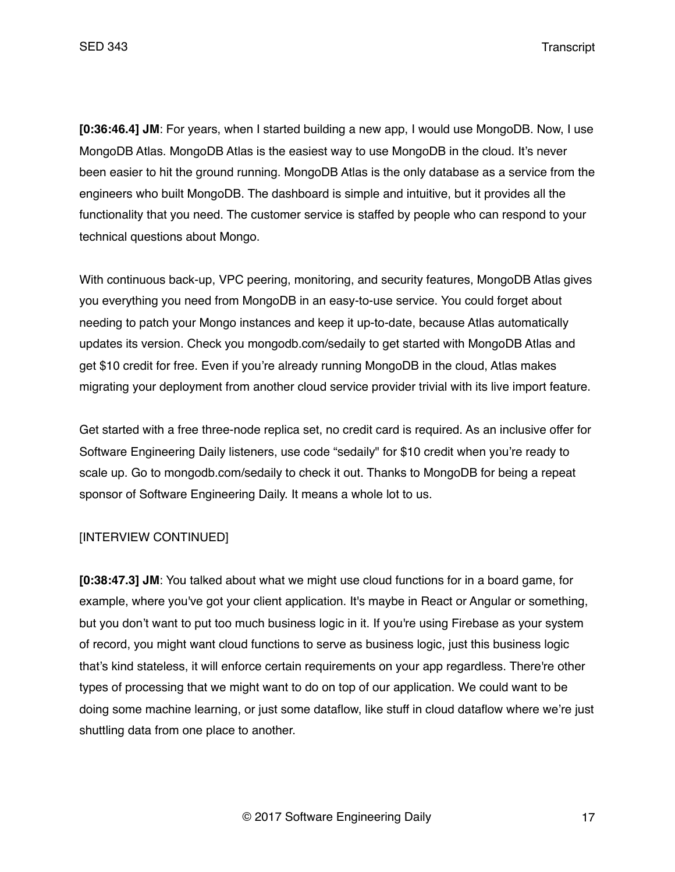**[0:36:46.4] JM**: For years, when I started building a new app, I would use MongoDB. Now, I use MongoDB Atlas. MongoDB Atlas is the easiest way to use MongoDB in the cloud. It's never been easier to hit the ground running. MongoDB Atlas is the only database as a service from the engineers who built MongoDB. The dashboard is simple and intuitive, but it provides all the functionality that you need. The customer service is staffed by people who can respond to your technical questions about Mongo.

With continuous back-up, VPC peering, monitoring, and security features, MongoDB Atlas gives you everything you need from MongoDB in an easy-to-use service. You could forget about needing to patch your Mongo instances and keep it up-to-date, because Atlas automatically updates its version. Check you mongodb.com/sedaily to get started with MongoDB Atlas and get \$10 credit for free. Even if you're already running MongoDB in the cloud, Atlas makes migrating your deployment from another cloud service provider trivial with its live import feature.

Get started with a free three-node replica set, no credit card is required. As an inclusive offer for Software Engineering Daily listeners, use code "sedaily" for \$10 credit when you're ready to scale up. Go to mongodb.com/sedaily to check it out. Thanks to MongoDB for being a repeat sponsor of Software Engineering Daily. It means a whole lot to us.

# [INTERVIEW CONTINUED]

**[0:38:47.3] JM**: You talked about what we might use cloud functions for in a board game, for example, where you've got your client application. It's maybe in React or Angular or something, but you don't want to put too much business logic in it. If you're using Firebase as your system of record, you might want cloud functions to serve as business logic, just this business logic that's kind stateless, it will enforce certain requirements on your app regardless. There're other types of processing that we might want to do on top of our application. We could want to be doing some machine learning, or just some dataflow, like stuff in cloud dataflow where we're just shuttling data from one place to another.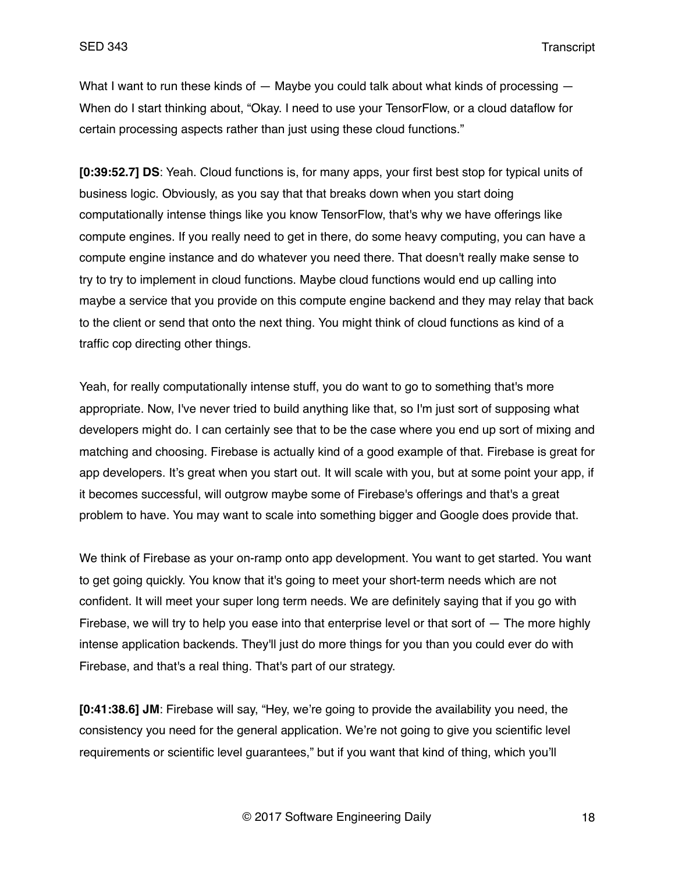What I want to run these kinds of  $-$  Maybe you could talk about what kinds of processing  $-$ When do I start thinking about, "Okay. I need to use your TensorFlow, or a cloud dataflow for certain processing aspects rather than just using these cloud functions."

**[0:39:52.7] DS**: Yeah. Cloud functions is, for many apps, your first best stop for typical units of business logic. Obviously, as you say that that breaks down when you start doing computationally intense things like you know TensorFlow, that's why we have offerings like compute engines. If you really need to get in there, do some heavy computing, you can have a compute engine instance and do whatever you need there. That doesn't really make sense to try to try to implement in cloud functions. Maybe cloud functions would end up calling into maybe a service that you provide on this compute engine backend and they may relay that back to the client or send that onto the next thing. You might think of cloud functions as kind of a traffic cop directing other things.

Yeah, for really computationally intense stuff, you do want to go to something that's more appropriate. Now, I've never tried to build anything like that, so I'm just sort of supposing what developers might do. I can certainly see that to be the case where you end up sort of mixing and matching and choosing. Firebase is actually kind of a good example of that. Firebase is great for app developers. It's great when you start out. It will scale with you, but at some point your app, if it becomes successful, will outgrow maybe some of Firebase's offerings and that's a great problem to have. You may want to scale into something bigger and Google does provide that.

We think of Firebase as your on-ramp onto app development. You want to get started. You want to get going quickly. You know that it's going to meet your short-term needs which are not confident. It will meet your super long term needs. We are definitely saying that if you go with Firebase, we will try to help you ease into that enterprise level or that sort of  $-$  The more highly intense application backends. They'll just do more things for you than you could ever do with Firebase, and that's a real thing. That's part of our strategy.

**[0:41:38.6] JM**: Firebase will say, "Hey, we're going to provide the availability you need, the consistency you need for the general application. We're not going to give you scientific level requirements or scientific level guarantees," but if you want that kind of thing, which you'll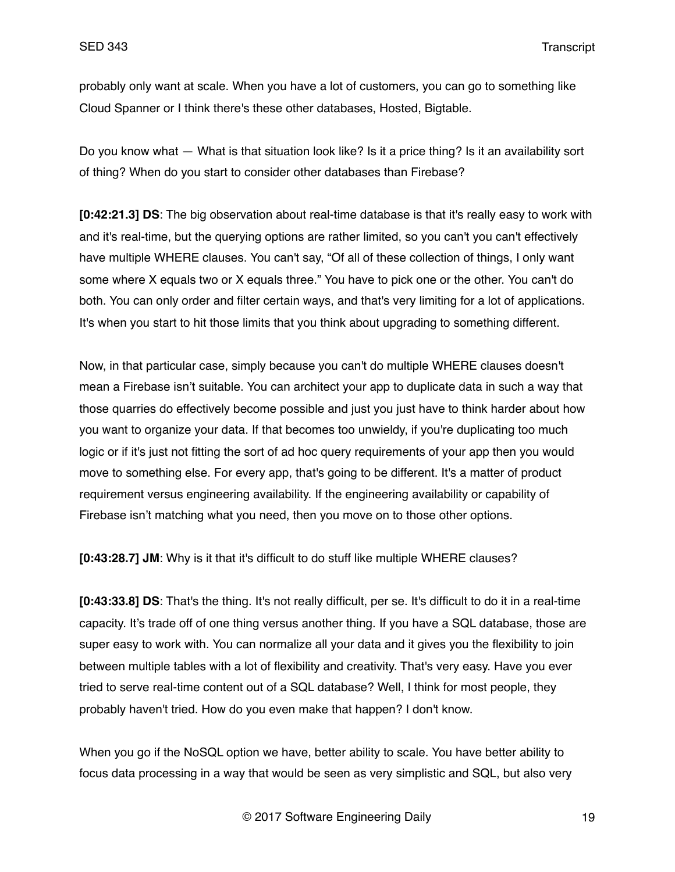probably only want at scale. When you have a lot of customers, you can go to something like Cloud Spanner or I think there's these other databases, Hosted, Bigtable.

Do you know what — What is that situation look like? Is it a price thing? Is it an availability sort of thing? When do you start to consider other databases than Firebase?

**[0:42:21.3] DS**: The big observation about real-time database is that it's really easy to work with and it's real-time, but the querying options are rather limited, so you can't you can't effectively have multiple WHERE clauses. You can't say, "Of all of these collection of things, I only want some where X equals two or X equals three." You have to pick one or the other. You can't do both. You can only order and filter certain ways, and that's very limiting for a lot of applications. It's when you start to hit those limits that you think about upgrading to something different.

Now, in that particular case, simply because you can't do multiple WHERE clauses doesn't mean a Firebase isn't suitable. You can architect your app to duplicate data in such a way that those quarries do effectively become possible and just you just have to think harder about how you want to organize your data. If that becomes too unwieldy, if you're duplicating too much logic or if it's just not fitting the sort of ad hoc query requirements of your app then you would move to something else. For every app, that's going to be different. It's a matter of product requirement versus engineering availability. If the engineering availability or capability of Firebase isn't matching what you need, then you move on to those other options.

**[0:43:28.7] JM**: Why is it that it's difficult to do stuff like multiple WHERE clauses?

**[0:43:33.8] DS**: That's the thing. It's not really difficult, per se. It's difficult to do it in a real-time capacity. It's trade off of one thing versus another thing. If you have a SQL database, those are super easy to work with. You can normalize all your data and it gives you the flexibility to join between multiple tables with a lot of flexibility and creativity. That's very easy. Have you ever tried to serve real-time content out of a SQL database? Well, I think for most people, they probably haven't tried. How do you even make that happen? I don't know.

When you go if the NoSQL option we have, better ability to scale. You have better ability to focus data processing in a way that would be seen as very simplistic and SQL, but also very

© 2017 Software Engineering Daily 19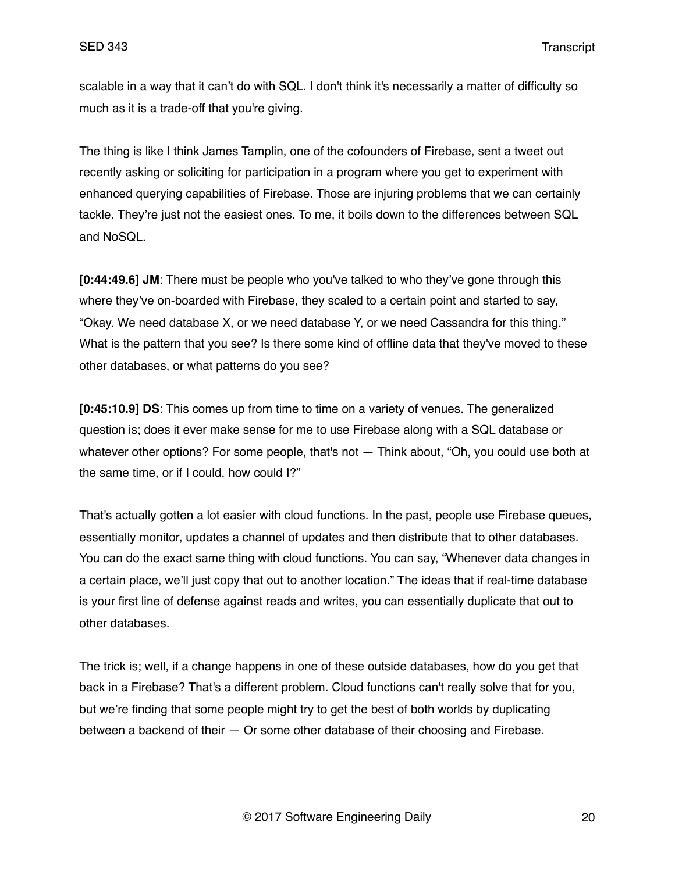scalable in a way that it can't do with SQL. I don't think it's necessarily a matter of difficulty so much as it is a trade-off that you're giving.

The thing is like I think James Tamplin, one of the cofounders of Firebase, sent a tweet out recently asking or soliciting for participation in a program where you get to experiment with enhanced querying capabilities of Firebase. Those are injuring problems that we can certainly tackle. They're just not the easiest ones. To me, it boils down to the differences between SQL and NoSQL.

**[0:44:49.6] JM**: There must be people who you've talked to who they've gone through this where they've on-boarded with Firebase, they scaled to a certain point and started to say, "Okay. We need database X, or we need database Y, or we need Cassandra for this thing." What is the pattern that you see? Is there some kind of offline data that they've moved to these other databases, or what patterns do you see?

**[0:45:10.9] DS**: This comes up from time to time on a variety of venues. The generalized question is; does it ever make sense for me to use Firebase along with a SQL database or whatever other options? For some people, that's not — Think about, "Oh, you could use both at the same time, or if I could, how could I?"

That's actually gotten a lot easier with cloud functions. In the past, people use Firebase queues, essentially monitor, updates a channel of updates and then distribute that to other databases. You can do the exact same thing with cloud functions. You can say, "Whenever data changes in a certain place, we'll just copy that out to another location." The ideas that if real-time database is your first line of defense against reads and writes, you can essentially duplicate that out to other databases.

The trick is; well, if a change happens in one of these outside databases, how do you get that back in a Firebase? That's a different problem. Cloud functions can't really solve that for you, but we're finding that some people might try to get the best of both worlds by duplicating between a backend of their — Or some other database of their choosing and Firebase.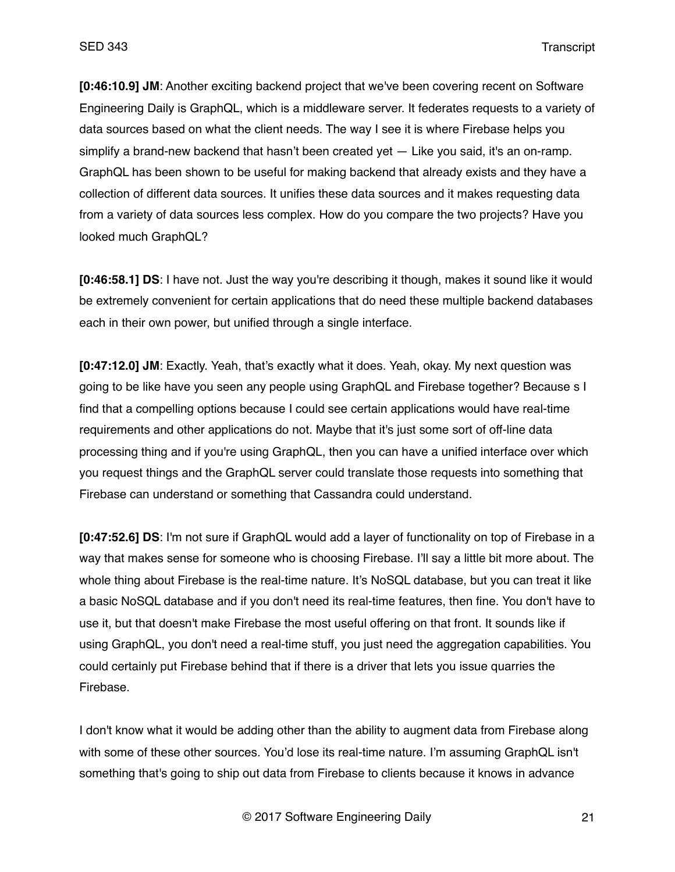**[0:46:10.9] JM**: Another exciting backend project that we've been covering recent on Software Engineering Daily is GraphQL, which is a middleware server. It federates requests to a variety of data sources based on what the client needs. The way I see it is where Firebase helps you simplify a brand-new backend that hasn't been created yet — Like you said, it's an on-ramp. GraphQL has been shown to be useful for making backend that already exists and they have a collection of different data sources. It unifies these data sources and it makes requesting data from a variety of data sources less complex. How do you compare the two projects? Have you looked much GraphQL?

**[0:46:58.1] DS**: I have not. Just the way you're describing it though, makes it sound like it would be extremely convenient for certain applications that do need these multiple backend databases each in their own power, but unified through a single interface.

**[0:47:12.0] JM**: Exactly. Yeah, that's exactly what it does. Yeah, okay. My next question was going to be like have you seen any people using GraphQL and Firebase together? Because s I find that a compelling options because I could see certain applications would have real-time requirements and other applications do not. Maybe that it's just some sort of off-line data processing thing and if you're using GraphQL, then you can have a unified interface over which you request things and the GraphQL server could translate those requests into something that Firebase can understand or something that Cassandra could understand.

**[0:47:52.6] DS**: I'm not sure if GraphQL would add a layer of functionality on top of Firebase in a way that makes sense for someone who is choosing Firebase. I'll say a little bit more about. The whole thing about Firebase is the real-time nature. It's NoSQL database, but you can treat it like a basic NoSQL database and if you don't need its real-time features, then fine. You don't have to use it, but that doesn't make Firebase the most useful offering on that front. It sounds like if using GraphQL, you don't need a real-time stuff, you just need the aggregation capabilities. You could certainly put Firebase behind that if there is a driver that lets you issue quarries the Firebase.

I don't know what it would be adding other than the ability to augment data from Firebase along with some of these other sources. You'd lose its real-time nature. I'm assuming GraphQL isn't something that's going to ship out data from Firebase to clients because it knows in advance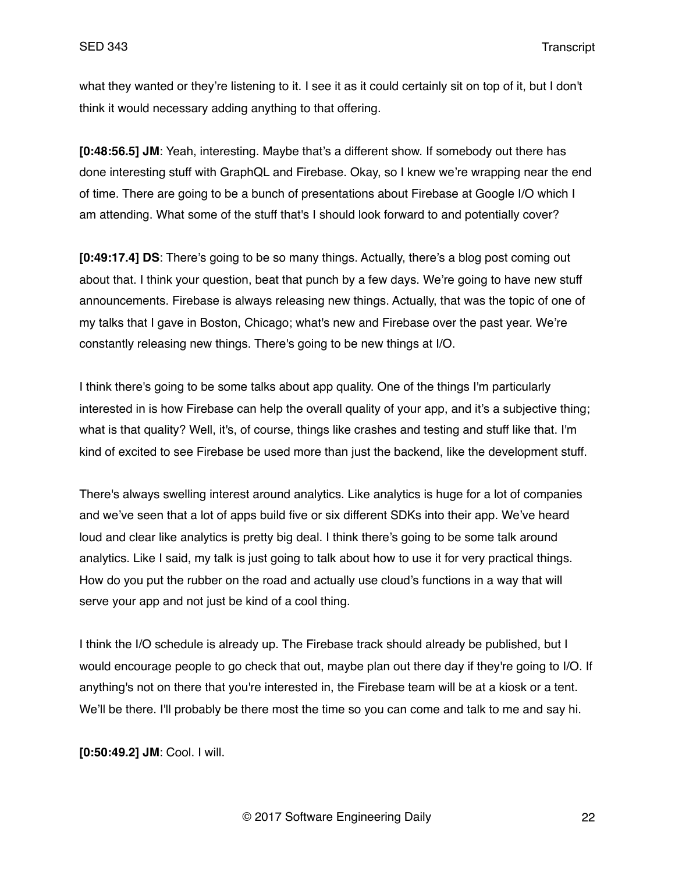what they wanted or they're listening to it. I see it as it could certainly sit on top of it, but I don't think it would necessary adding anything to that offering.

**[0:48:56.5] JM**: Yeah, interesting. Maybe that's a different show. If somebody out there has done interesting stuff with GraphQL and Firebase. Okay, so I knew we're wrapping near the end of time. There are going to be a bunch of presentations about Firebase at Google I/O which I am attending. What some of the stuff that's I should look forward to and potentially cover?

**[0:49:17.4] DS**: There's going to be so many things. Actually, there's a blog post coming out about that. I think your question, beat that punch by a few days. We're going to have new stuff announcements. Firebase is always releasing new things. Actually, that was the topic of one of my talks that I gave in Boston, Chicago; what's new and Firebase over the past year. We're constantly releasing new things. There's going to be new things at I/O.

I think there's going to be some talks about app quality. One of the things I'm particularly interested in is how Firebase can help the overall quality of your app, and it's a subjective thing; what is that quality? Well, it's, of course, things like crashes and testing and stuff like that. I'm kind of excited to see Firebase be used more than just the backend, like the development stuff.

There's always swelling interest around analytics. Like analytics is huge for a lot of companies and we've seen that a lot of apps build five or six different SDKs into their app. We've heard loud and clear like analytics is pretty big deal. I think there's going to be some talk around analytics. Like I said, my talk is just going to talk about how to use it for very practical things. How do you put the rubber on the road and actually use cloud's functions in a way that will serve your app and not just be kind of a cool thing.

I think the I/O schedule is already up. The Firebase track should already be published, but I would encourage people to go check that out, maybe plan out there day if they're going to I/O. If anything's not on there that you're interested in, the Firebase team will be at a kiosk or a tent. We'll be there. I'll probably be there most the time so you can come and talk to me and say hi.

**[0:50:49.2] JM**: Cool. I will.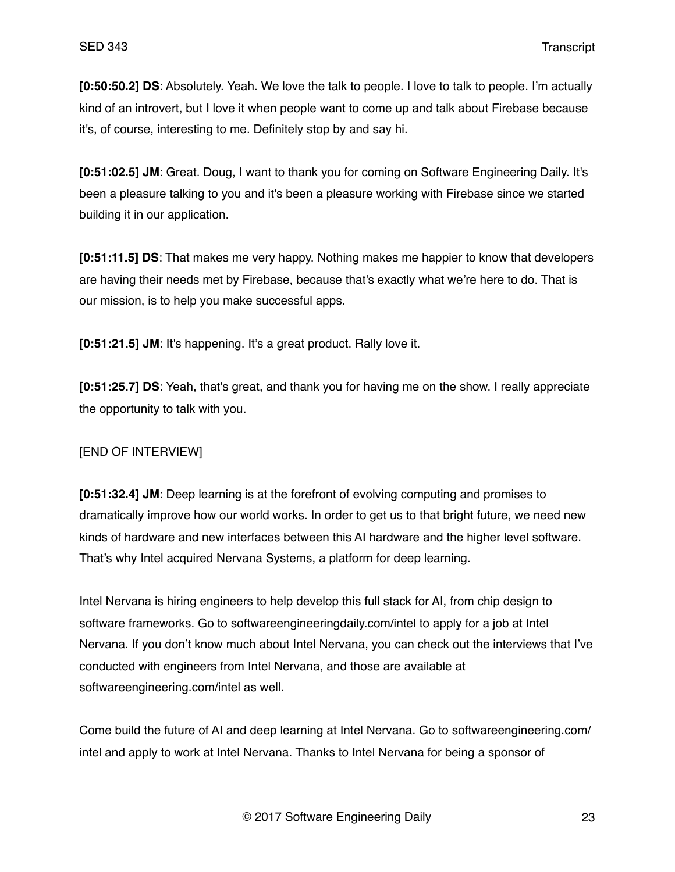**[0:50:50.2] DS**: Absolutely. Yeah. We love the talk to people. I love to talk to people. I'm actually kind of an introvert, but I love it when people want to come up and talk about Firebase because it's, of course, interesting to me. Definitely stop by and say hi.

**[0:51:02.5] JM**: Great. Doug, I want to thank you for coming on Software Engineering Daily. It's been a pleasure talking to you and it's been a pleasure working with Firebase since we started building it in our application.

**[0:51:11.5] DS**: That makes me very happy. Nothing makes me happier to know that developers are having their needs met by Firebase, because that's exactly what we're here to do. That is our mission, is to help you make successful apps.

**[0:51:21.5] JM**: It's happening. It's a great product. Rally love it.

**[0:51:25.7] DS**: Yeah, that's great, and thank you for having me on the show. I really appreciate the opportunity to talk with you.

# [END OF INTERVIEW]

**[0:51:32.4] JM**: Deep learning is at the forefront of evolving computing and promises to dramatically improve how our world works. In order to get us to that bright future, we need new kinds of hardware and new interfaces between this AI hardware and the higher level software. That's why Intel acquired Nervana Systems, a platform for deep learning.

Intel Nervana is hiring engineers to help develop this full stack for AI, from chip design to software frameworks. Go to softwareengineeringdaily.com/intel to apply for a job at Intel Nervana. If you don't know much about Intel Nervana, you can check out the interviews that I've conducted with engineers from Intel Nervana, and those are available at softwareengineering.com/intel as well.

Come build the future of AI and deep learning at Intel Nervana. Go to softwareengineering.com/ intel and apply to work at Intel Nervana. Thanks to Intel Nervana for being a sponsor of